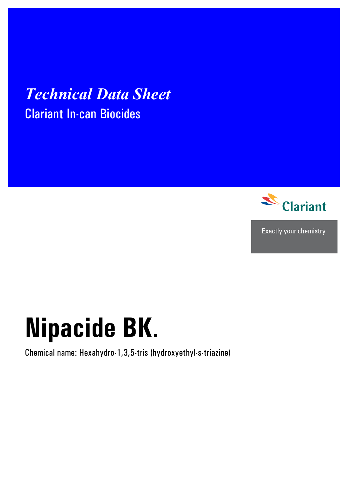# *Technical Data Sheet*  Clariant In-can Biocides



Exactly your chemistry.

# **Nipacide BK**.

Chemical name: Hexahydro-1,3,5-tris (hydroxyethyl-s-triazine)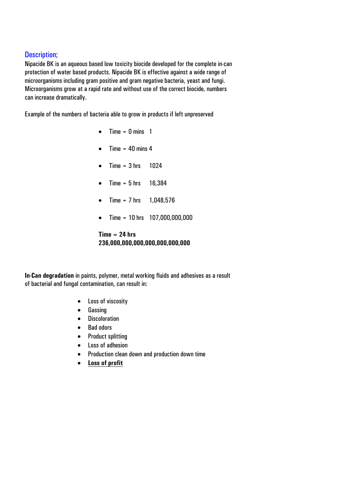## Description;

Nipacide BK is an aqueous based low toxicity biocide developed for the complete in-can protection of water based products. Nipacide BK is effective against a wide range of microorganisms including gram positive and gram negative bacteria, yeast and fungi. Microorganisms grow at a rapid rate and without use of the correct biocide, numbers can increase dramatically.

Example of the numbers of bacteria able to grow in products if left unpreserved

- $\bullet$  Time = 0 mins 1
- Time  $= 40$  mins 4
- Time =  $3 \text{ hrs}$  1024
- Time =  $5 \text{ hrs}$  16,384
- Time =  $7 \text{ hrs}$  1,048,576
- Time = 10 hrs 107,000,000,000

#### **Time = 24 hrs 236,000,000,000,000,000,000,000**

**In-Can degradation** in paints, polymer, metal working fluids and adhesives as a result of bacterial and fungal contamination, can result in:

- Loss of viscosity
- Gassing
- Discoloration
- Bad odors
- Product splitting
- Loss of adhesion
- Production clean down and production down time
- **Loss of profit**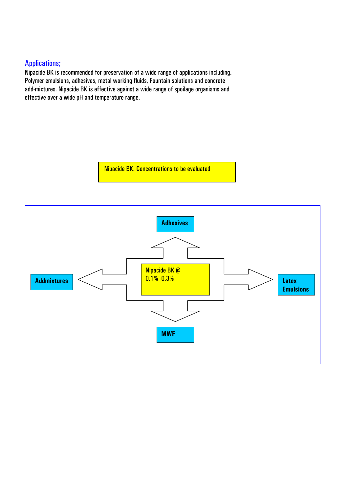# Applications;

Nipacide BK is recommended for preservation of a wide range of applications including. Polymer emulsions, adhesives, metal working fluids, Fountain solutions and concrete add-mixtures. Nipacide BK is effective against a wide range of spoilage organisms and effective over a wide pH and temperature range.

Nipacide BK. Concentrations to be evaluated

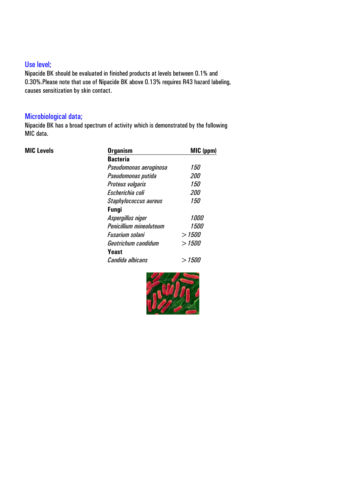# Use level;

Nipacide BK should be evaluated in finished products at levels between 0.1% and 0.30%.Please note that use of Nipacide BK above 0.13% requires R43 hazard labeling, causes sensitization by skin contact.

# Microbiological data;

Nipacide BK has a broad spectrum of activity which is demonstrated by the following MIC data.

| <b>MIC Levels</b> | <b>Organism</b>         | MIC (ppm)   |  |  |  |
|-------------------|-------------------------|-------------|--|--|--|
|                   | <b>Bacteria</b>         |             |  |  |  |
|                   | Pseudomonas aeruginosa  | 150         |  |  |  |
|                   | Pseudomonas putida      | <i>200</i>  |  |  |  |
|                   | <b>Proteus vulgaris</b> | 150         |  |  |  |
|                   | Escherichia coli        | <i>200</i>  |  |  |  |
|                   | Staphylococcus aureus   | <i>150</i>  |  |  |  |
|                   | <b>Fungi</b>            |             |  |  |  |
|                   | Aspergillus niger       | <i>1000</i> |  |  |  |
|                   | Penicillium mineoluteum | <i>1500</i> |  |  |  |
|                   | Fusarium solani         | > 1500      |  |  |  |
|                   | Geotrichum candidum     | >1500       |  |  |  |
|                   | Yeast                   |             |  |  |  |
|                   | Candida albicans        | > 1500      |  |  |  |

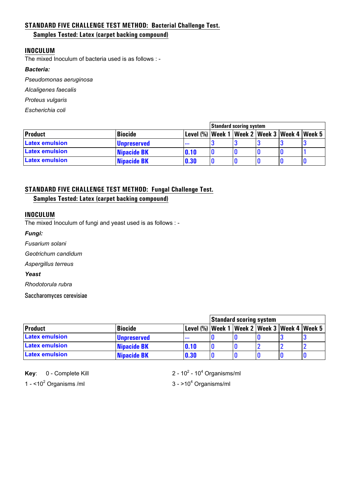#### **STANDARD FIVE CHALLENGE TEST METHOD: Bacterial Challenge Test.**

#### **Samples Tested: Latex (carpet backing compound)**

#### **INOCULUM**

The mixed Inoculum of bacteria used is as follows : -

#### *Bacteria:*

*Pseudomonas aeruginosa*

*Alcaligenes faecalis* 

*Proteus vulgaris* 

*Escherichia coli* 

|                       |                    | <b>Standard scoring system</b>                         |  |  |  |  |
|-----------------------|--------------------|--------------------------------------------------------|--|--|--|--|
| Product               | <b>Biocide</b>     | Level (%)   Week 1   Week 2   Week 3   Week 4   Week 5 |  |  |  |  |
| <b>Latex emulsion</b> | <b>Unpreserved</b> | $- - -$                                                |  |  |  |  |
| <b>Latex emulsion</b> | Nipacide BK        | 0.10                                                   |  |  |  |  |
| <b>Latex emulsion</b> | Nipacide BK        | 0.30                                                   |  |  |  |  |

## **STANDARD FIVE CHALLENGE TEST METHOD: Fungal Challenge Test.**

#### **Samples Tested: Latex (carpet backing compound)**

#### **INOCULUM**

The mixed Inoculum of fungi and yeast used is as follows : -

*Fungi:*

*Fusarium solani* 

*Geotrichum candidum*

*Aspergillus terreus* 

#### *Yeast*

*Rhodotorula rubra* 

Saccharomyces cerevisiae

|                       |                    |                                                   | Standard scoring system |  |  |  |  |
|-----------------------|--------------------|---------------------------------------------------|-------------------------|--|--|--|--|
| <b>Product</b>        | <b>Biocide</b>     | Level (%)  Week 1  Week 2  Week 3  Week 4  Week 5 |                         |  |  |  |  |
| <b>Latex emulsion</b> | <b>Unpreserved</b> | $\cdots$                                          |                         |  |  |  |  |
| <b>Latex emulsion</b> | Nipacide BK        | 0.10                                              |                         |  |  |  |  |
| <b>Latex emulsion</b> | Nipacide BK        | 0.30                                              |                         |  |  |  |  |

**Key:** 0 - Complete Kill

1 -  $<$ 10<sup>2</sup> Organisms /ml 3 - >10<sup>4</sup>

- 10<sup>4</sup> Organisms/ml

 $3 - 10<sup>4</sup>$  Organisms/ml